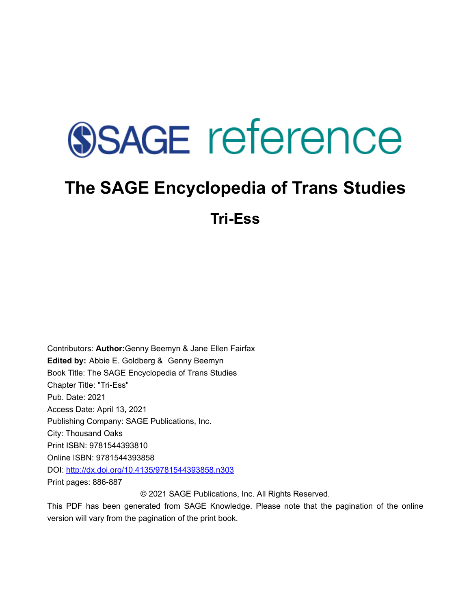# **SSAGE reference**

# **The SAGE Encyclopedia of Trans Studies Tri-Ess**

Contributors: **Author:**Genny Beemyn & Jane Ellen Fairfax **Edited by:** [Abbie E. Goldberg](javascript:void(0);) & [Genny Beemyn](javascript:void(0);)  Book Title: The SAGE Encyclopedia of Trans Studies Chapter Title: "Tri-Ess" Pub. Date: 2021 Access Date: April 13, 2021 Publishing Company: SAGE Publications, Inc. City: Thousand Oaks Print ISBN: 9781544393810 Online ISBN: 9781544393858 DOI: <http://dx.doi.org/10.4135/9781544393858.n303> Print pages: 886-887

© 2021 SAGE Publications, Inc. All Rights Reserved.

This PDF has been generated from SAGE Knowledge. Please note that the pagination of the online version will vary from the pagination of the print book.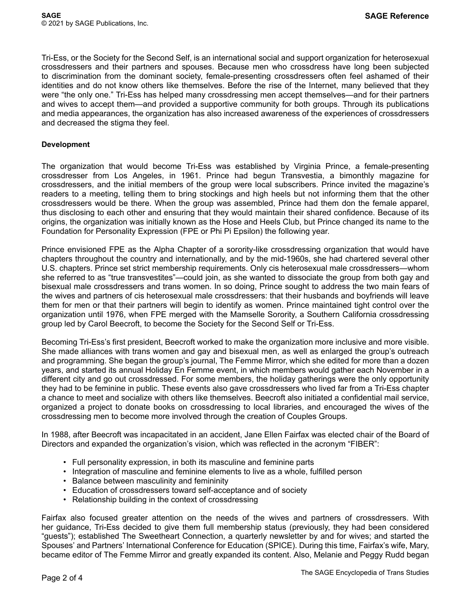Tri-Ess, or the Society for the Second Self, is an international social and support organization for heterosexual crossdressers and their partners and spouses. Because men who crossdress have long been subjected to discrimination from the dominant society, female-presenting crossdressers often feel ashamed of their identities and do not know others like themselves. Before the rise of the Internet, many believed that they were "the only one." Tri-Ess has helped many crossdressing men accept themselves—and for their partners and wives to accept them—and provided a supportive community for both groups. Through its publications and media appearances, the organization has also increased awareness of the experiences of crossdressers and decreased the stigma they feel.

### **Development**

The organization that would become Tri-Ess was established by Virginia Prince, a female-presenting crossdresser from Los Angeles, in 1961. Prince had begun Transvestia, a bimonthly magazine for crossdressers, and the initial members of the group were local subscribers. Prince invited the magazine's readers to a meeting, telling them to bring stockings and high heels but not informing them that the other crossdressers would be there. When the group was assembled, Prince had them don the female apparel, thus disclosing to each other and ensuring that they would maintain their shared confidence. Because of its origins, the organization was initially known as the Hose and Heels Club, but Prince changed its name to the Foundation for Personality Expression (FPE or Phi Pi Epsilon) the following year.

Prince envisioned FPE as the Alpha Chapter of a sorority-like crossdressing organization that would have chapters throughout the country and internationally, and by the mid-1960s, she had chartered several other U.S. chapters. Prince set strict membership requirements. Only cis heterosexual male crossdressers—whom she referred to as "true transvestites"—could join, as she wanted to dissociate the group from both gay and bisexual male crossdressers and trans women. In so doing, Prince sought to address the two main fears of the wives and partners of cis heterosexual male crossdressers: that their husbands and boyfriends will leave them for men or that their partners will begin to identify as women. Prince maintained tight control over the organization until 1976, when FPE merged with the Mamselle Sorority, a Southern California crossdressing group led by Carol Beecroft, to become the Society for the Second Self or Tri-Ess.

Becoming Tri-Ess's first president, Beecroft worked to make the organization more inclusive and more visible. She made alliances with trans women and gay and bisexual men, as well as enlarged the group's outreach and programming. She began the group's journal, The Femme Mirror, which she edited for more than a dozen years, and started its annual Holiday En Femme event, in which members would gather each November in a different city and go out crossdressed. For some members, the holiday gatherings were the only opportunity they had to be feminine in public. These events also gave crossdressers who lived far from a Tri-Ess chapter a chance to meet and socialize with others like themselves. Beecroft also initiated a confidential mail service, organized a project to donate books on crossdressing to local libraries, and encouraged the wives of the crossdressing men to become more involved through the creation of Couples Groups.

In 1988, after Beecroft was incapacitated in an accident, Jane Ellen Fairfax was elected chair of the Board of Directors and expanded the organization's vision, which was reflected in the acronym "FIBER":

- Full personality expression, in both its masculine and feminine parts
- Integration of masculine and feminine elements to live as a whole, fulfilled person
- Balance between masculinity and femininity
- Education of crossdressers toward self-acceptance and of society
- Relationship building in the context of crossdressing

Fairfax also focused greater attention on the needs of the wives and partners of crossdressers. With her guidance, Tri-Ess decided to give them full membership status (previously, they had been considered "guests"); established The Sweetheart Connection, a quarterly newsletter by and for wives; and started the Spouses' and Partners' International Conference for Education (SPICE). During this time, Fairfax's wife, Mary, became editor of The Femme Mirror and greatly expanded its content. Also, Melanie and Peggy Rudd began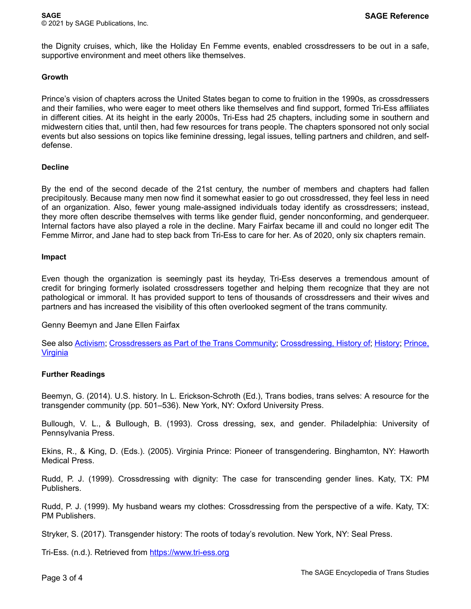the Dignity cruises, which, like the Holiday En Femme events, enabled crossdressers to be out in a safe, supportive environment and meet others like themselves.

### **Growth**

Prince's vision of chapters across the United States began to come to fruition in the 1990s, as crossdressers and their families, who were eager to meet others like themselves and find support, formed Tri-Ess affiliates in different cities. At its height in the early 2000s, Tri-Ess had 25 chapters, including some in southern and midwestern cities that, until then, had few resources for trans people. The chapters sponsored not only social events but also sessions on topics like feminine dressing, legal issues, telling partners and children, and selfdefense.

#### **Decline**

By the end of the second decade of the 21st century, the number of members and chapters had fallen precipitously. Because many men now find it somewhat easier to go out crossdressed, they feel less in need of an organization. Also, fewer young male-assigned individuals today identify as crossdressers; instead, they more often describe themselves with terms like gender fluid, gender nonconforming, and genderqueer. Internal factors have also played a role in the decline. Mary Fairfax became ill and could no longer edit The Femme Mirror, and Jane had to step back from Tri-Ess to care for her. As of 2020, only six chapters remain.

#### **Impact**

Even though the organization is seemingly past its heyday, Tri-Ess deserves a tremendous amount of credit for bringing formerly isolated crossdressers together and helping them recognize that they are not pathological or immoral. It has provided support to tens of thousands of crossdressers and their wives and partners and has increased the visibility of this often overlooked segment of the trans community.

Genny Beemyn and Jane Ellen Fairfax

See also [Activism](http://sk.sagepub.com/reference/the-sage-encyclopedia-of-trans-studies/i882.xml); [Crossdressers as Part of the Trans Community](http://sk.sagepub.com/reference/the-sage-encyclopedia-of-trans-studies/i2059.xml); [Crossdressing, History of](http://sk.sagepub.com/reference/the-sage-encyclopedia-of-trans-studies/i2081.xml); [History;](http://sk.sagepub.com/reference/the-sage-encyclopedia-of-trans-studies/i3752.xml) [Prince,](http://sk.sagepub.com/reference/the-sage-encyclopedia-of-trans-studies/i5565.xml)  **Virginia** 

## **Further Readings**

Beemyn, G. (2014). U.S. history. In L. Erickson-Schroth (Ed.), Trans bodies, trans selves: A resource for the transgender community (pp. 501–536). New York, NY: Oxford University Press.

Bullough, V. L., & Bullough, B. (1993). Cross dressing, sex, and gender. Philadelphia: University of Pennsylvania Press.

Ekins, R., & King, D. (Eds.). (2005). Virginia Prince: Pioneer of transgendering. Binghamton, NY: Haworth Medical Press.

Rudd, P. J. (1999). Crossdressing with dignity: The case for transcending gender lines. Katy, TX: PM **Publishers** 

Rudd, P. J. (1999). My husband wears my clothes: Crossdressing from the perspective of a wife. Katy, TX: PM Publishers.

Stryker, S. (2017). Transgender history: The roots of today's revolution. New York, NY: Seal Press.

Tri-Ess. (n.d.). Retrieved from [https://www.tri-ess.org](https://www.tri-ess.org/)